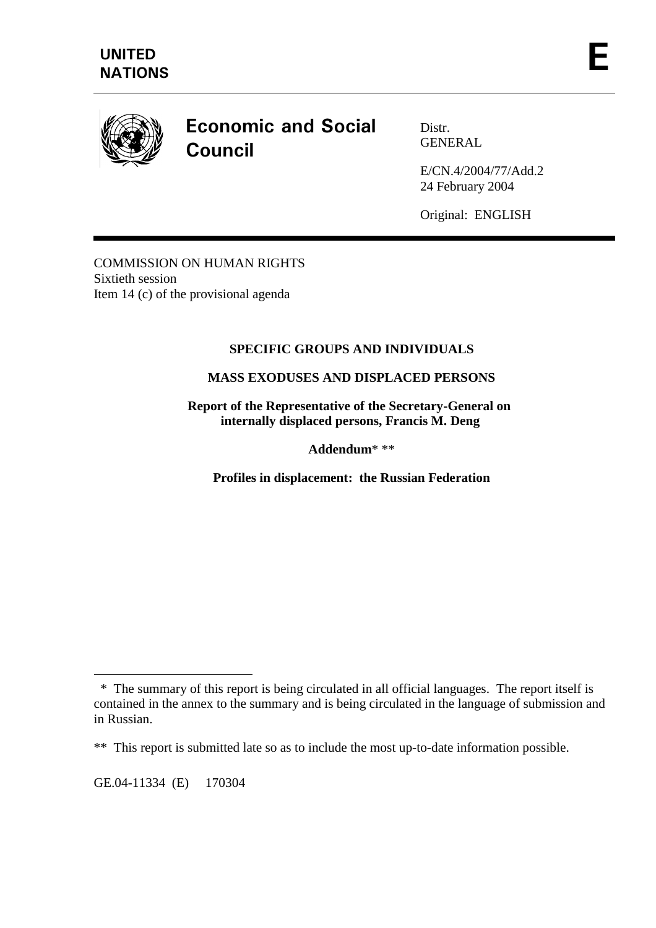

# **Economic and Social Council**

Distr. GENERAL

E/CN.4/2004/77/Add.2 24 February 2004

Original: ENGLISH

COMMISSION ON HUMAN RIGHTS Sixtieth session Item 14 (c) of the provisional agenda

# **SPECIFIC GROUPS AND INDIVIDUALS**

# **MASS EXODUSES AND DISPLACED PERSONS**

**Report of the Representative of the Secretary-General on internally displaced persons, Francis M. Deng** 

**Addendum**\* \*\*

**Profiles in displacement: the Russian Federation** 

GE.04-11334 (E) 170304

 $\overline{a}$ 

 <sup>\*</sup> The summary of this report is being circulated in all official languages. The report itself is contained in the annex to the summary and is being circulated in the language of submission and in Russian.

<sup>\*\*</sup> This report is submitted late so as to include the most up-to-date information possible.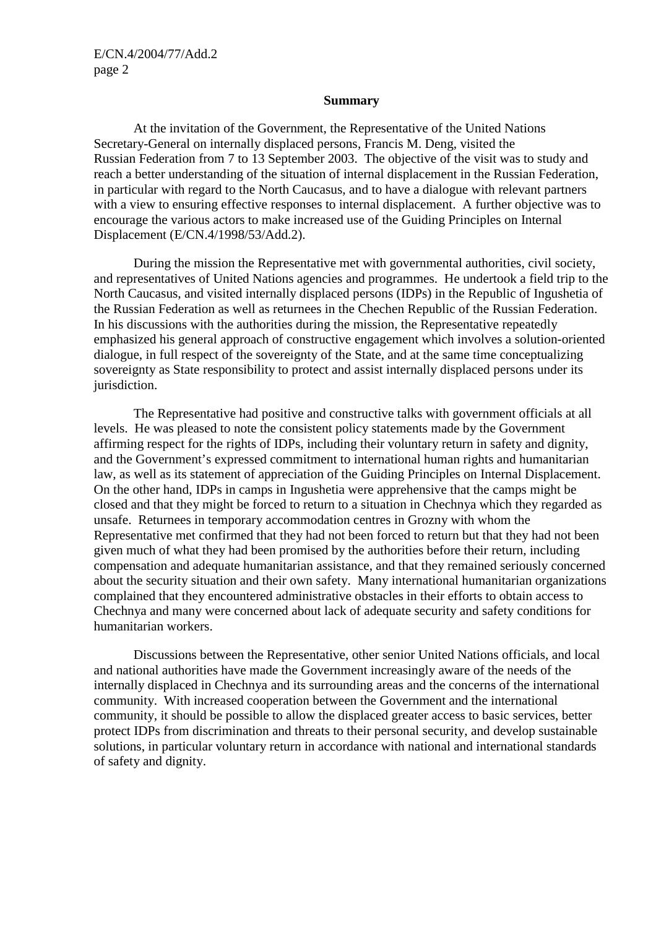#### **Summary**

 At the invitation of the Government, the Representative of the United Nations Secretary-General on internally displaced persons, Francis M. Deng, visited the Russian Federation from 7 to 13 September 2003. The objective of the visit was to study and reach a better understanding of the situation of internal displacement in the Russian Federation, in particular with regard to the North Caucasus, and to have a dialogue with relevant partners with a view to ensuring effective responses to internal displacement. A further objective was to encourage the various actors to make increased use of the Guiding Principles on Internal Displacement (E/CN.4/1998/53/Add.2).

 During the mission the Representative met with governmental authorities, civil society, and representatives of United Nations agencies and programmes. He undertook a field trip to the North Caucasus, and visited internally displaced persons (IDPs) in the Republic of Ingushetia of the Russian Federation as well as returnees in the Chechen Republic of the Russian Federation. In his discussions with the authorities during the mission, the Representative repeatedly emphasized his general approach of constructive engagement which involves a solution-oriented dialogue, in full respect of the sovereignty of the State, and at the same time conceptualizing sovereignty as State responsibility to protect and assist internally displaced persons under its jurisdiction.

 The Representative had positive and constructive talks with government officials at all levels. He was pleased to note the consistent policy statements made by the Government affirming respect for the rights of IDPs, including their voluntary return in safety and dignity, and the Government's expressed commitment to international human rights and humanitarian law, as well as its statement of appreciation of the Guiding Principles on Internal Displacement. On the other hand, IDPs in camps in Ingushetia were apprehensive that the camps might be closed and that they might be forced to return to a situation in Chechnya which they regarded as unsafe. Returnees in temporary accommodation centres in Grozny with whom the Representative met confirmed that they had not been forced to return but that they had not been given much of what they had been promised by the authorities before their return, including compensation and adequate humanitarian assistance, and that they remained seriously concerned about the security situation and their own safety. Many international humanitarian organizations complained that they encountered administrative obstacles in their efforts to obtain access to Chechnya and many were concerned about lack of adequate security and safety conditions for humanitarian workers.

 Discussions between the Representative, other senior United Nations officials, and local and national authorities have made the Government increasingly aware of the needs of the internally displaced in Chechnya and its surrounding areas and the concerns of the international community. With increased cooperation between the Government and the international community, it should be possible to allow the displaced greater access to basic services, better protect IDPs from discrimination and threats to their personal security, and develop sustainable solutions, in particular voluntary return in accordance with national and international standards of safety and dignity.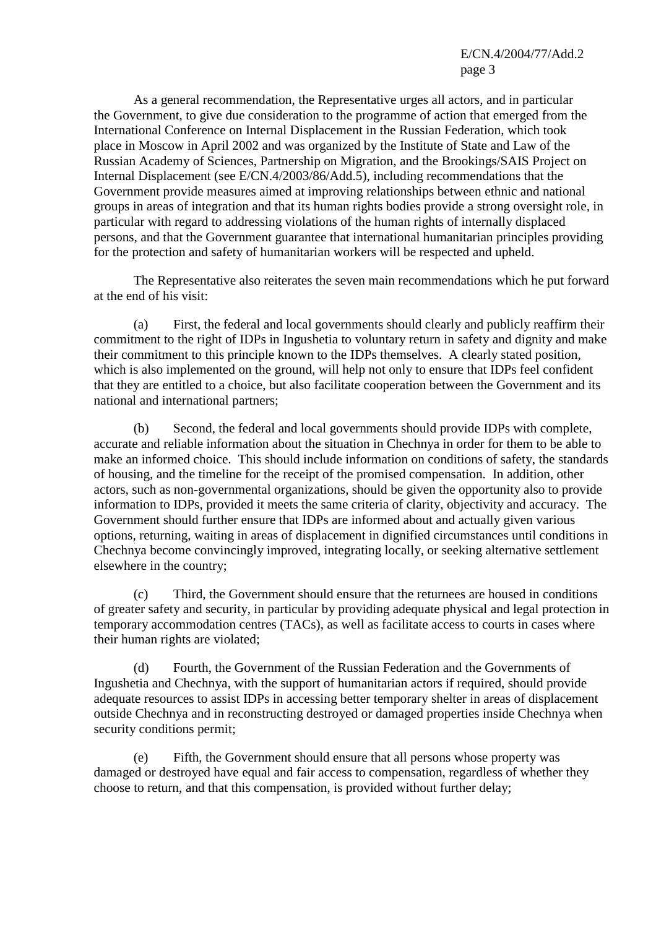As a general recommendation, the Representative urges all actors, and in particular the Government, to give due consideration to the programme of action that emerged from the International Conference on Internal Displacement in the Russian Federation, which took place in Moscow in April 2002 and was organized by the Institute of State and Law of the Russian Academy of Sciences, Partnership on Migration, and the Brookings/SAIS Project on Internal Displacement (see E/CN.4/2003/86/Add.5), including recommendations that the Government provide measures aimed at improving relationships between ethnic and national groups in areas of integration and that its human rights bodies provide a strong oversight role, in particular with regard to addressing violations of the human rights of internally displaced persons, and that the Government guarantee that international humanitarian principles providing for the protection and safety of humanitarian workers will be respected and upheld.

 The Representative also reiterates the seven main recommendations which he put forward at the end of his visit:

 (a) First, the federal and local governments should clearly and publicly reaffirm their commitment to the right of IDPs in Ingushetia to voluntary return in safety and dignity and make their commitment to this principle known to the IDPs themselves. A clearly stated position, which is also implemented on the ground, will help not only to ensure that IDPs feel confident that they are entitled to a choice, but also facilitate cooperation between the Government and its national and international partners;

 (b) Second, the federal and local governments should provide IDPs with complete, accurate and reliable information about the situation in Chechnya in order for them to be able to make an informed choice. This should include information on conditions of safety, the standards of housing, and the timeline for the receipt of the promised compensation. In addition, other actors, such as non-governmental organizations, should be given the opportunity also to provide information to IDPs, provided it meets the same criteria of clarity, objectivity and accuracy. The Government should further ensure that IDPs are informed about and actually given various options, returning, waiting in areas of displacement in dignified circumstances until conditions in Chechnya become convincingly improved, integrating locally, or seeking alternative settlement elsewhere in the country;

 (c) Third, the Government should ensure that the returnees are housed in conditions of greater safety and security, in particular by providing adequate physical and legal protection in temporary accommodation centres (TACs), as well as facilitate access to courts in cases where their human rights are violated;

 (d) Fourth, the Government of the Russian Federation and the Governments of Ingushetia and Chechnya, with the support of humanitarian actors if required, should provide adequate resources to assist IDPs in accessing better temporary shelter in areas of displacement outside Chechnya and in reconstructing destroyed or damaged properties inside Chechnya when security conditions permit;

 (e) Fifth, the Government should ensure that all persons whose property was damaged or destroyed have equal and fair access to compensation, regardless of whether they choose to return, and that this compensation, is provided without further delay;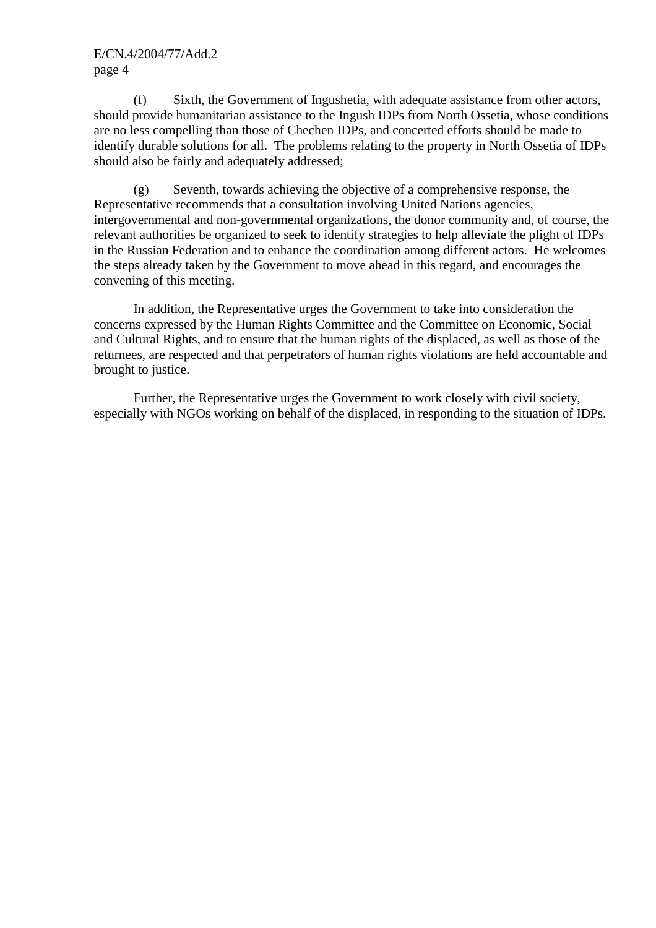(f) Sixth, the Government of Ingushetia, with adequate assistance from other actors, should provide humanitarian assistance to the Ingush IDPs from North Ossetia, whose conditions are no less compelling than those of Chechen IDPs, and concerted efforts should be made to identify durable solutions for all. The problems relating to the property in North Ossetia of IDPs should also be fairly and adequately addressed;

 (g) Seventh, towards achieving the objective of a comprehensive response, the Representative recommends that a consultation involving United Nations agencies, intergovernmental and non-governmental organizations, the donor community and, of course, the relevant authorities be organized to seek to identify strategies to help alleviate the plight of IDPs in the Russian Federation and to enhance the coordination among different actors. He welcomes the steps already taken by the Government to move ahead in this regard, and encourages the convening of this meeting.

 In addition, the Representative urges the Government to take into consideration the concerns expressed by the Human Rights Committee and the Committee on Economic, Social and Cultural Rights, and to ensure that the human rights of the displaced, as well as those of the returnees, are respected and that perpetrators of human rights violations are held accountable and brought to justice.

 Further, the Representative urges the Government to work closely with civil society, especially with NGOs working on behalf of the displaced, in responding to the situation of IDPs.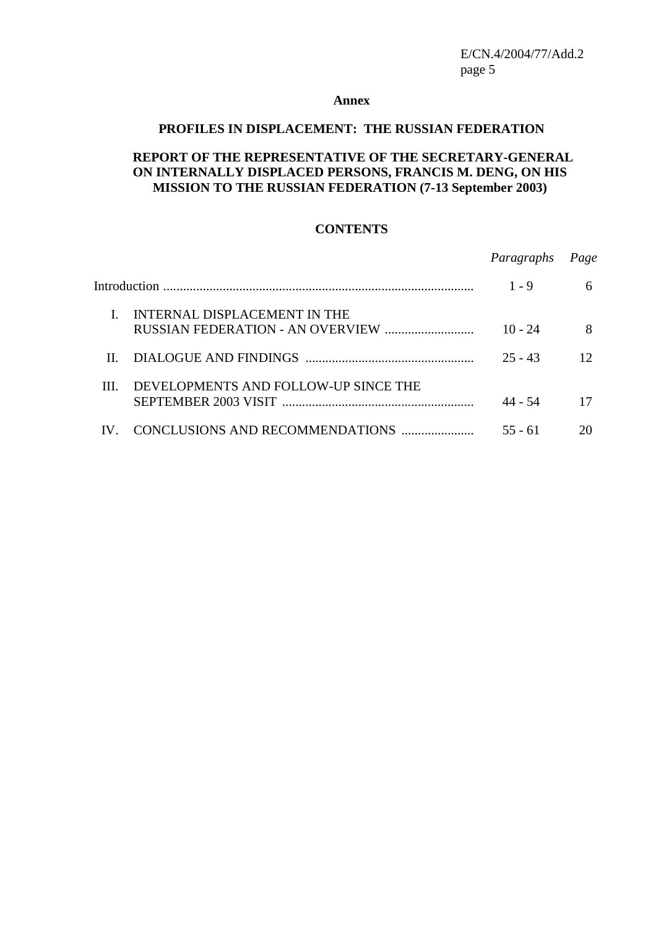#### **Annex**

## **PROFILES IN DISPLACEMENT: THE RUSSIAN FEDERATION**

#### **REPORT OF THE REPRESENTATIVE OF THE SECRETARY-GENERAL ON INTERNALLY DISPLACED PERSONS, FRANCIS M. DENG, ON HIS MISSION TO THE RUSSIAN FEDERATION (7-13 September 2003)**

# **CONTENTS**

|     |                                      | Paragraphs | Page |
|-----|--------------------------------------|------------|------|
|     |                                      | $1 - 9$    | 6    |
|     | INTERNAL DISPLACEMENT IN THE         | $10 - 24$  | 8    |
| Н.  | DIALOGUE AND FINDINGS                | $25 - 43$  | 12   |
| III | DEVELOPMENTS AND FOLLOW-UP SINCE THE | 44 - 54    | 17   |
|     |                                      | 55 - 61    | 20   |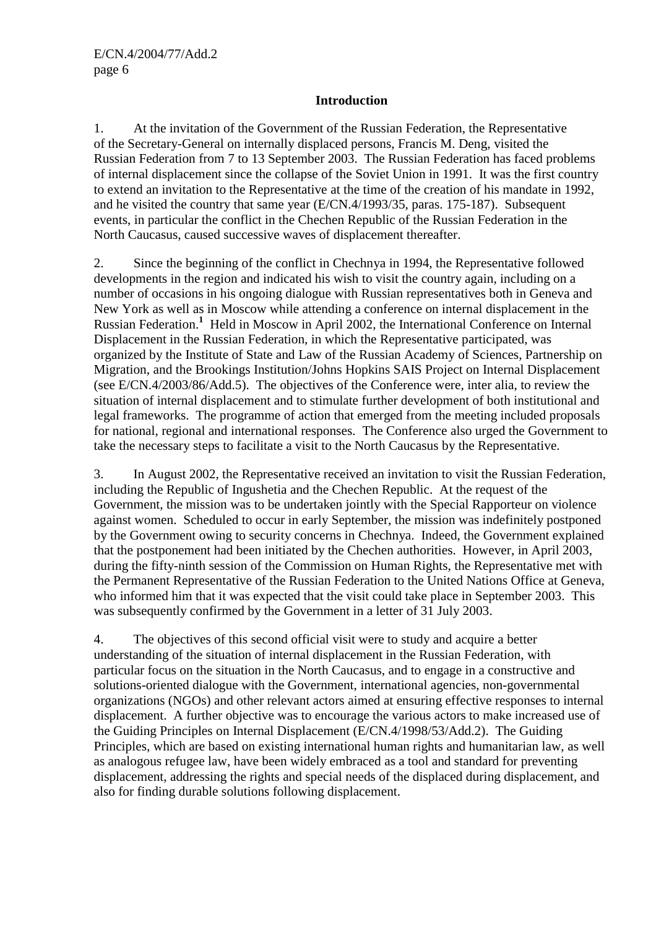# **Introduction**

1. At the invitation of the Government of the Russian Federation, the Representative of the Secretary-General on internally displaced persons, Francis M. Deng, visited the Russian Federation from 7 to 13 September 2003. The Russian Federation has faced problems of internal displacement since the collapse of the Soviet Union in 1991. It was the first country to extend an invitation to the Representative at the time of the creation of his mandate in 1992, and he visited the country that same year (E/CN.4/1993/35, paras. 175-187). Subsequent events, in particular the conflict in the Chechen Republic of the Russian Federation in the North Caucasus, caused successive waves of displacement thereafter.

2. Since the beginning of the conflict in Chechnya in 1994, the Representative followed developments in the region and indicated his wish to visit the country again, including on a number of occasions in his ongoing dialogue with Russian representatives both in Geneva and New York as well as in Moscow while attending a conference on internal displacement in the Russian Federation.**<sup>1</sup>** Held in Moscow in April 2002, the International Conference on Internal Displacement in the Russian Federation, in which the Representative participated, was organized by the Institute of State and Law of the Russian Academy of Sciences, Partnership on Migration, and the Brookings Institution/Johns Hopkins SAIS Project on Internal Displacement (see E/CN.4/2003/86/Add.5). The objectives of the Conference were, inter alia, to review the situation of internal displacement and to stimulate further development of both institutional and legal frameworks. The programme of action that emerged from the meeting included proposals for national, regional and international responses. The Conference also urged the Government to take the necessary steps to facilitate a visit to the North Caucasus by the Representative.

3. In August 2002, the Representative received an invitation to visit the Russian Federation, including the Republic of Ingushetia and the Chechen Republic. At the request of the Government, the mission was to be undertaken jointly with the Special Rapporteur on violence against women. Scheduled to occur in early September, the mission was indefinitely postponed by the Government owing to security concerns in Chechnya. Indeed, the Government explained that the postponement had been initiated by the Chechen authorities. However, in April 2003, during the fifty-ninth session of the Commission on Human Rights, the Representative met with the Permanent Representative of the Russian Federation to the United Nations Office at Geneva, who informed him that it was expected that the visit could take place in September 2003. This was subsequently confirmed by the Government in a letter of 31 July 2003.

4. The objectives of this second official visit were to study and acquire a better understanding of the situation of internal displacement in the Russian Federation, with particular focus on the situation in the North Caucasus, and to engage in a constructive and solutions-oriented dialogue with the Government, international agencies, non-governmental organizations (NGOs) and other relevant actors aimed at ensuring effective responses to internal displacement. A further objective was to encourage the various actors to make increased use of the Guiding Principles on Internal Displacement (E/CN.4/1998/53/Add.2). The Guiding Principles, which are based on existing international human rights and humanitarian law, as well as analogous refugee law, have been widely embraced as a tool and standard for preventing displacement, addressing the rights and special needs of the displaced during displacement, and also for finding durable solutions following displacement.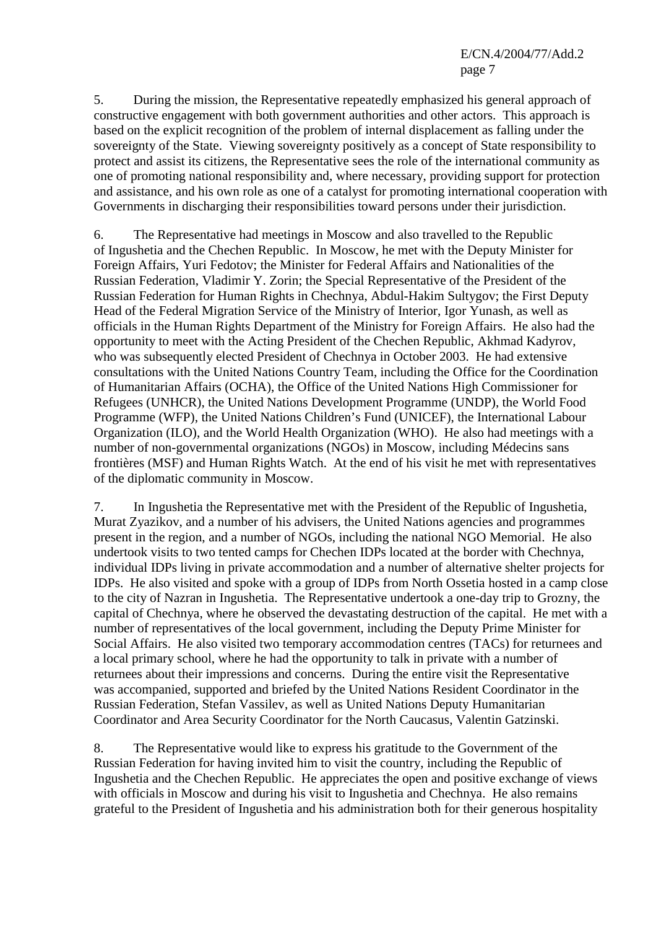5. During the mission, the Representative repeatedly emphasized his general approach of constructive engagement with both government authorities and other actors. This approach is based on the explicit recognition of the problem of internal displacement as falling under the sovereignty of the State. Viewing sovereignty positively as a concept of State responsibility to protect and assist its citizens, the Representative sees the role of the international community as one of promoting national responsibility and, where necessary, providing support for protection and assistance, and his own role as one of a catalyst for promoting international cooperation with Governments in discharging their responsibilities toward persons under their jurisdiction.

6. The Representative had meetings in Moscow and also travelled to the Republic of Ingushetia and the Chechen Republic. In Moscow, he met with the Deputy Minister for Foreign Affairs, Yuri Fedotov; the Minister for Federal Affairs and Nationalities of the Russian Federation, Vladimir Y. Zorin; the Special Representative of the President of the Russian Federation for Human Rights in Chechnya, Abdul-Hakim Sultygov; the First Deputy Head of the Federal Migration Service of the Ministry of Interior, Igor Yunash, as well as officials in the Human Rights Department of the Ministry for Foreign Affairs. He also had the opportunity to meet with the Acting President of the Chechen Republic, Akhmad Kadyrov, who was subsequently elected President of Chechnya in October 2003. He had extensive consultations with the United Nations Country Team, including the Office for the Coordination of Humanitarian Affairs (OCHA), the Office of the United Nations High Commissioner for Refugees (UNHCR), the United Nations Development Programme (UNDP), the World Food Programme (WFP), the United Nations Children's Fund (UNICEF), the International Labour Organization (ILO), and the World Health Organization (WHO). He also had meetings with a number of non-governmental organizations (NGOs) in Moscow, including Médecins sans frontières (MSF) and Human Rights Watch. At the end of his visit he met with representatives of the diplomatic community in Moscow.

7. In Ingushetia the Representative met with the President of the Republic of Ingushetia, Murat Zyazikov, and a number of his advisers, the United Nations agencies and programmes present in the region, and a number of NGOs, including the national NGO Memorial. He also undertook visits to two tented camps for Chechen IDPs located at the border with Chechnya, individual IDPs living in private accommodation and a number of alternative shelter projects for IDPs. He also visited and spoke with a group of IDPs from North Ossetia hosted in a camp close to the city of Nazran in Ingushetia. The Representative undertook a one-day trip to Grozny, the capital of Chechnya, where he observed the devastating destruction of the capital. He met with a number of representatives of the local government, including the Deputy Prime Minister for Social Affairs. He also visited two temporary accommodation centres (TACs) for returnees and a local primary school, where he had the opportunity to talk in private with a number of returnees about their impressions and concerns. During the entire visit the Representative was accompanied, supported and briefed by the United Nations Resident Coordinator in the Russian Federation, Stefan Vassilev, as well as United Nations Deputy Humanitarian Coordinator and Area Security Coordinator for the North Caucasus, Valentin Gatzinski.

8. The Representative would like to express his gratitude to the Government of the Russian Federation for having invited him to visit the country, including the Republic of Ingushetia and the Chechen Republic. He appreciates the open and positive exchange of views with officials in Moscow and during his visit to Ingushetia and Chechnya. He also remains grateful to the President of Ingushetia and his administration both for their generous hospitality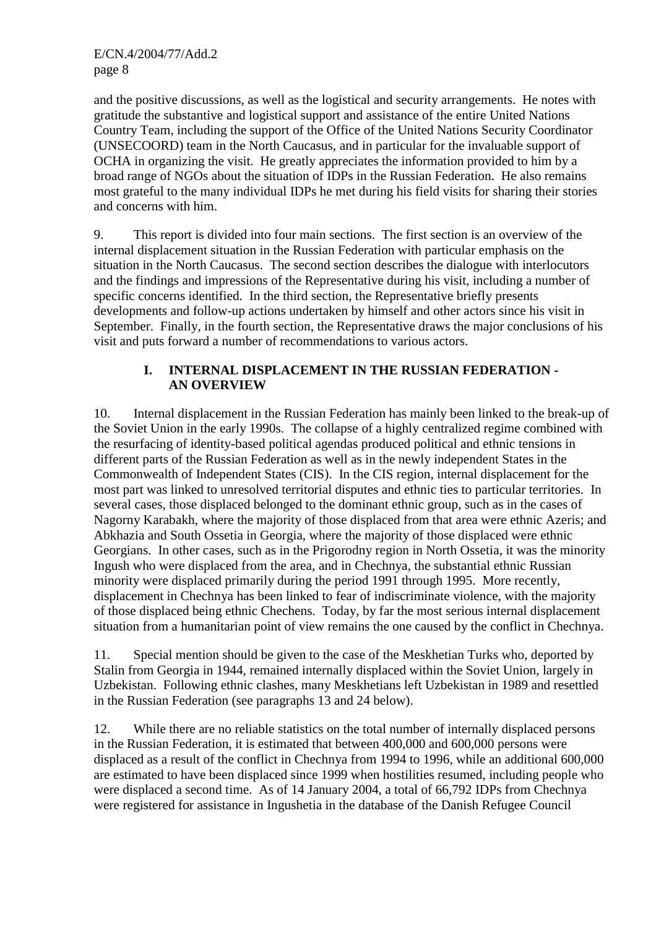and the positive discussions, as well as the logistical and security arrangements. He notes with gratitude the substantive and logistical support and assistance of the entire United Nations Country Team, including the support of the Office of the United Nations Security Coordinator (UNSECOORD) team in the North Caucasus, and in particular for the invaluable support of OCHA in organizing the visit. He greatly appreciates the information provided to him by a broad range of NGOs about the situation of IDPs in the Russian Federation. He also remains most grateful to the many individual IDPs he met during his field visits for sharing their stories and concerns with him.

9. This report is divided into four main sections. The first section is an overview of the internal displacement situation in the Russian Federation with particular emphasis on the situation in the North Caucasus. The second section describes the dialogue with interlocutors and the findings and impressions of the Representative during his visit, including a number of specific concerns identified. In the third section, the Representative briefly presents developments and follow-up actions undertaken by himself and other actors since his visit in September. Finally, in the fourth section, the Representative draws the major conclusions of his visit and puts forward a number of recommendations to various actors.

# **I. INTERNAL DISPLACEMENT IN THE RUSSIAN FEDERATION - AN OVERVIEW**

10. Internal displacement in the Russian Federation has mainly been linked to the break-up of the Soviet Union in the early 1990s. The collapse of a highly centralized regime combined with the resurfacing of identity-based political agendas produced political and ethnic tensions in different parts of the Russian Federation as well as in the newly independent States in the Commonwealth of Independent States (CIS). In the CIS region, internal displacement for the most part was linked to unresolved territorial disputes and ethnic ties to particular territories. In several cases, those displaced belonged to the dominant ethnic group, such as in the cases of Nagorny Karabakh, where the majority of those displaced from that area were ethnic Azeris; and Abkhazia and South Ossetia in Georgia, where the majority of those displaced were ethnic Georgians. In other cases, such as in the Prigorodny region in North Ossetia, it was the minority Ingush who were displaced from the area, and in Chechnya, the substantial ethnic Russian minority were displaced primarily during the period 1991 through 1995. More recently, displacement in Chechnya has been linked to fear of indiscriminate violence, with the majority of those displaced being ethnic Chechens. Today, by far the most serious internal displacement situation from a humanitarian point of view remains the one caused by the conflict in Chechnya.

11. Special mention should be given to the case of the Meskhetian Turks who, deported by Stalin from Georgia in 1944, remained internally displaced within the Soviet Union, largely in Uzbekistan. Following ethnic clashes, many Meskhetians left Uzbekistan in 1989 and resettled in the Russian Federation (see paragraphs 13 and 24 below).

12. While there are no reliable statistics on the total number of internally displaced persons in the Russian Federation, it is estimated that between 400,000 and 600,000 persons were displaced as a result of the conflict in Chechnya from 1994 to 1996, while an additional 600,000 are estimated to have been displaced since 1999 when hostilities resumed, including people who were displaced a second time. As of 14 January 2004, a total of 66,792 IDPs from Chechnya were registered for assistance in Ingushetia in the database of the Danish Refugee Council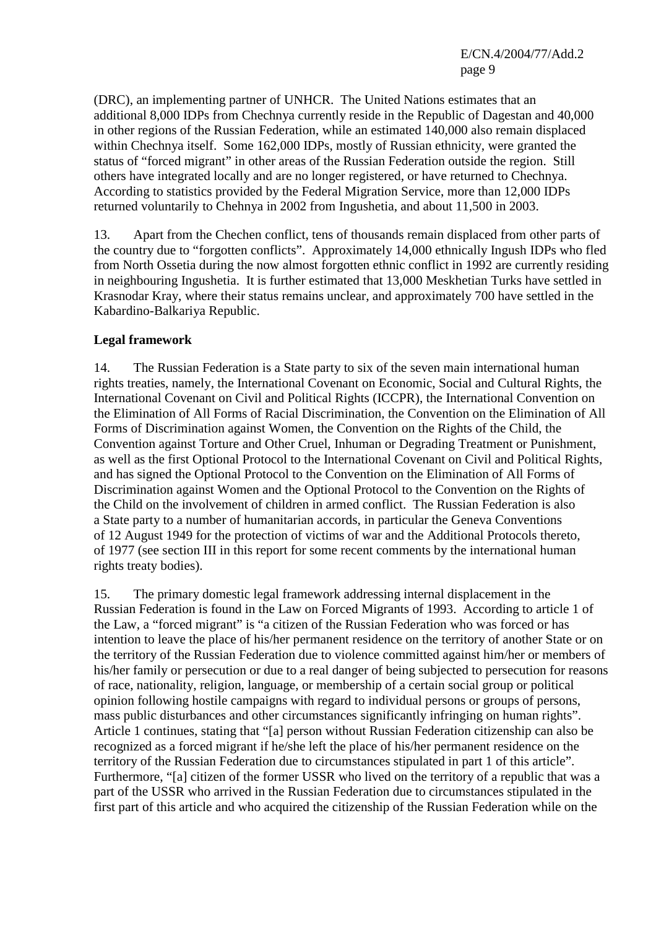(DRC), an implementing partner of UNHCR. The United Nations estimates that an additional 8,000 IDPs from Chechnya currently reside in the Republic of Dagestan and 40,000 in other regions of the Russian Federation, while an estimated 140,000 also remain displaced within Chechnya itself. Some 162,000 IDPs, mostly of Russian ethnicity, were granted the status of "forced migrant" in other areas of the Russian Federation outside the region. Still others have integrated locally and are no longer registered, or have returned to Chechnya. According to statistics provided by the Federal Migration Service, more than 12,000 IDPs returned voluntarily to Chehnya in 2002 from Ingushetia, and about 11,500 in 2003.

13. Apart from the Chechen conflict, tens of thousands remain displaced from other parts of the country due to "forgotten conflicts". Approximately 14,000 ethnically Ingush IDPs who fled from North Ossetia during the now almost forgotten ethnic conflict in 1992 are currently residing in neighbouring Ingushetia. It is further estimated that 13,000 Meskhetian Turks have settled in Krasnodar Kray, where their status remains unclear, and approximately 700 have settled in the Kabardino-Balkariya Republic.

## **Legal framework**

14. The Russian Federation is a State party to six of the seven main international human rights treaties, namely, the International Covenant on Economic, Social and Cultural Rights, the International Covenant on Civil and Political Rights (ICCPR), the International Convention on the Elimination of All Forms of Racial Discrimination, the Convention on the Elimination of All Forms of Discrimination against Women, the Convention on the Rights of the Child, the Convention against Torture and Other Cruel, Inhuman or Degrading Treatment or Punishment, as well as the first Optional Protocol to the International Covenant on Civil and Political Rights, and has signed the Optional Protocol to the Convention on the Elimination of All Forms of Discrimination against Women and the Optional Protocol to the Convention on the Rights of the Child on the involvement of children in armed conflict. The Russian Federation is also a State party to a number of humanitarian accords, in particular the Geneva Conventions of 12 August 1949 for the protection of victims of war and the Additional Protocols thereto, of 1977 (see section III in this report for some recent comments by the international human rights treaty bodies).

15. The primary domestic legal framework addressing internal displacement in the Russian Federation is found in the Law on Forced Migrants of 1993. According to article 1 of the Law, a "forced migrant" is "a citizen of the Russian Federation who was forced or has intention to leave the place of his/her permanent residence on the territory of another State or on the territory of the Russian Federation due to violence committed against him/her or members of his/her family or persecution or due to a real danger of being subjected to persecution for reasons of race, nationality, religion, language, or membership of a certain social group or political opinion following hostile campaigns with regard to individual persons or groups of persons, mass public disturbances and other circumstances significantly infringing on human rights". Article 1 continues, stating that "[a] person without Russian Federation citizenship can also be recognized as a forced migrant if he/she left the place of his/her permanent residence on the territory of the Russian Federation due to circumstances stipulated in part 1 of this article". Furthermore, "[a] citizen of the former USSR who lived on the territory of a republic that was a part of the USSR who arrived in the Russian Federation due to circumstances stipulated in the first part of this article and who acquired the citizenship of the Russian Federation while on the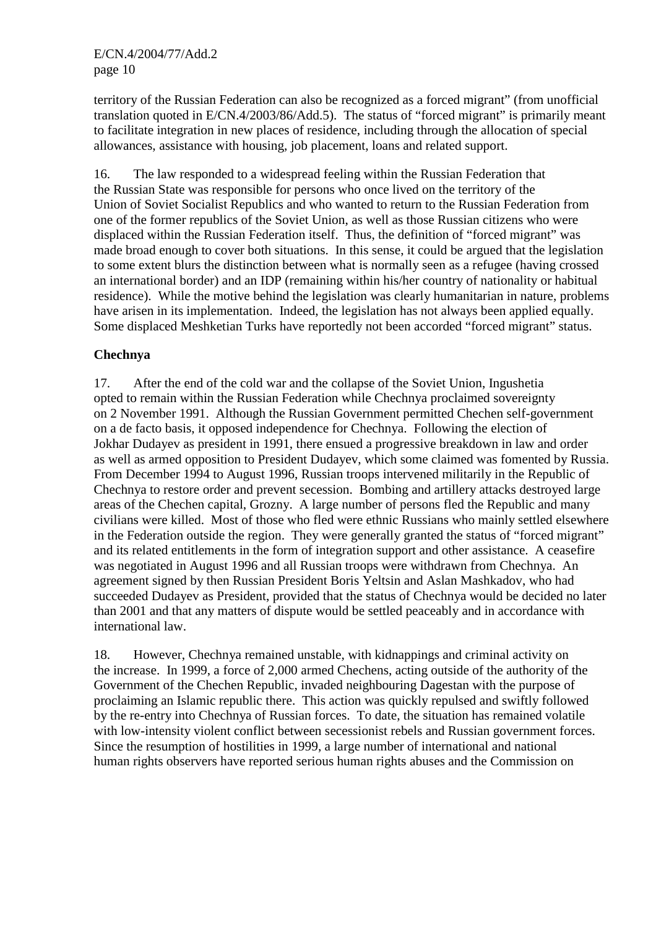territory of the Russian Federation can also be recognized as a forced migrant" (from unofficial translation quoted in E/CN.4/2003/86/Add.5). The status of "forced migrant" is primarily meant to facilitate integration in new places of residence, including through the allocation of special allowances, assistance with housing, job placement, loans and related support.

16. The law responded to a widespread feeling within the Russian Federation that the Russian State was responsible for persons who once lived on the territory of the Union of Soviet Socialist Republics and who wanted to return to the Russian Federation from one of the former republics of the Soviet Union, as well as those Russian citizens who were displaced within the Russian Federation itself. Thus, the definition of "forced migrant" was made broad enough to cover both situations. In this sense, it could be argued that the legislation to some extent blurs the distinction between what is normally seen as a refugee (having crossed an international border) and an IDP (remaining within his/her country of nationality or habitual residence). While the motive behind the legislation was clearly humanitarian in nature, problems have arisen in its implementation. Indeed, the legislation has not always been applied equally. Some displaced Meshketian Turks have reportedly not been accorded "forced migrant" status.

# **Chechnya**

17. After the end of the cold war and the collapse of the Soviet Union, Ingushetia opted to remain within the Russian Federation while Chechnya proclaimed sovereignty on 2 November 1991. Although the Russian Government permitted Chechen self-government on a de facto basis, it opposed independence for Chechnya. Following the election of Jokhar Dudayev as president in 1991, there ensued a progressive breakdown in law and order as well as armed opposition to President Dudayev, which some claimed was fomented by Russia. From December 1994 to August 1996, Russian troops intervened militarily in the Republic of Chechnya to restore order and prevent secession. Bombing and artillery attacks destroyed large areas of the Chechen capital, Grozny. A large number of persons fled the Republic and many civilians were killed. Most of those who fled were ethnic Russians who mainly settled elsewhere in the Federation outside the region. They were generally granted the status of "forced migrant" and its related entitlements in the form of integration support and other assistance. A ceasefire was negotiated in August 1996 and all Russian troops were withdrawn from Chechnya. An agreement signed by then Russian President Boris Yeltsin and Aslan Mashkadov, who had succeeded Dudayev as President, provided that the status of Chechnya would be decided no later than 2001 and that any matters of dispute would be settled peaceably and in accordance with international law.

18. However, Chechnya remained unstable, with kidnappings and criminal activity on the increase. In 1999, a force of 2,000 armed Chechens, acting outside of the authority of the Government of the Chechen Republic, invaded neighbouring Dagestan with the purpose of proclaiming an Islamic republic there. This action was quickly repulsed and swiftly followed by the re-entry into Chechnya of Russian forces. To date, the situation has remained volatile with low-intensity violent conflict between secessionist rebels and Russian government forces. Since the resumption of hostilities in 1999, a large number of international and national human rights observers have reported serious human rights abuses and the Commission on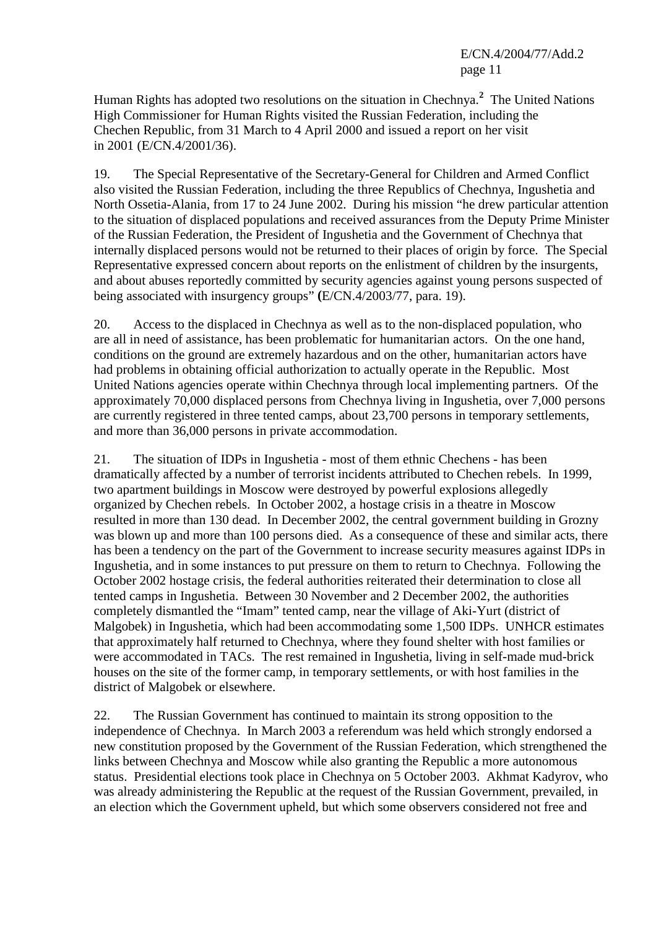Human Rights has adopted two resolutions on the situation in Chechnya.**<sup>2</sup>** The United Nations High Commissioner for Human Rights visited the Russian Federation, including the Chechen Republic, from 31 March to 4 April 2000 and issued a report on her visit in 2001 (E/CN.4/2001/36).

19. The Special Representative of the Secretary-General for Children and Armed Conflict also visited the Russian Federation, including the three Republics of Chechnya, Ingushetia and North Ossetia-Alania, from 17 to 24 June 2002. During his mission "he drew particular attention to the situation of displaced populations and received assurances from the Deputy Prime Minister of the Russian Federation, the President of Ingushetia and the Government of Chechnya that internally displaced persons would not be returned to their places of origin by force. The Special Representative expressed concern about reports on the enlistment of children by the insurgents, and about abuses reportedly committed by security agencies against young persons suspected of being associated with insurgency groups" **(**E/CN.4/2003/77, para. 19).

20. Access to the displaced in Chechnya as well as to the non-displaced population, who are all in need of assistance, has been problematic for humanitarian actors. On the one hand, conditions on the ground are extremely hazardous and on the other, humanitarian actors have had problems in obtaining official authorization to actually operate in the Republic. Most United Nations agencies operate within Chechnya through local implementing partners. Of the approximately 70,000 displaced persons from Chechnya living in Ingushetia, over 7,000 persons are currently registered in three tented camps, about 23,700 persons in temporary settlements, and more than 36,000 persons in private accommodation.

21. The situation of IDPs in Ingushetia - most of them ethnic Chechens - has been dramatically affected by a number of terrorist incidents attributed to Chechen rebels. In 1999, two apartment buildings in Moscow were destroyed by powerful explosions allegedly organized by Chechen rebels. In October 2002, a hostage crisis in a theatre in Moscow resulted in more than 130 dead. In December 2002, the central government building in Grozny was blown up and more than 100 persons died. As a consequence of these and similar acts, there has been a tendency on the part of the Government to increase security measures against IDPs in Ingushetia, and in some instances to put pressure on them to return to Chechnya. Following the October 2002 hostage crisis, the federal authorities reiterated their determination to close all tented camps in Ingushetia. Between 30 November and 2 December 2002, the authorities completely dismantled the "Imam" tented camp, near the village of Aki-Yurt (district of Malgobek) in Ingushetia, which had been accommodating some 1,500 IDPs. UNHCR estimates that approximately half returned to Chechnya, where they found shelter with host families or were accommodated in TACs. The rest remained in Ingushetia, living in self-made mud-brick houses on the site of the former camp, in temporary settlements, or with host families in the district of Malgobek or elsewhere.

22. The Russian Government has continued to maintain its strong opposition to the independence of Chechnya. In March 2003 a referendum was held which strongly endorsed a new constitution proposed by the Government of the Russian Federation, which strengthened the links between Chechnya and Moscow while also granting the Republic a more autonomous status. Presidential elections took place in Chechnya on 5 October 2003. Akhmat Kadyrov, who was already administering the Republic at the request of the Russian Government, prevailed, in an election which the Government upheld, but which some observers considered not free and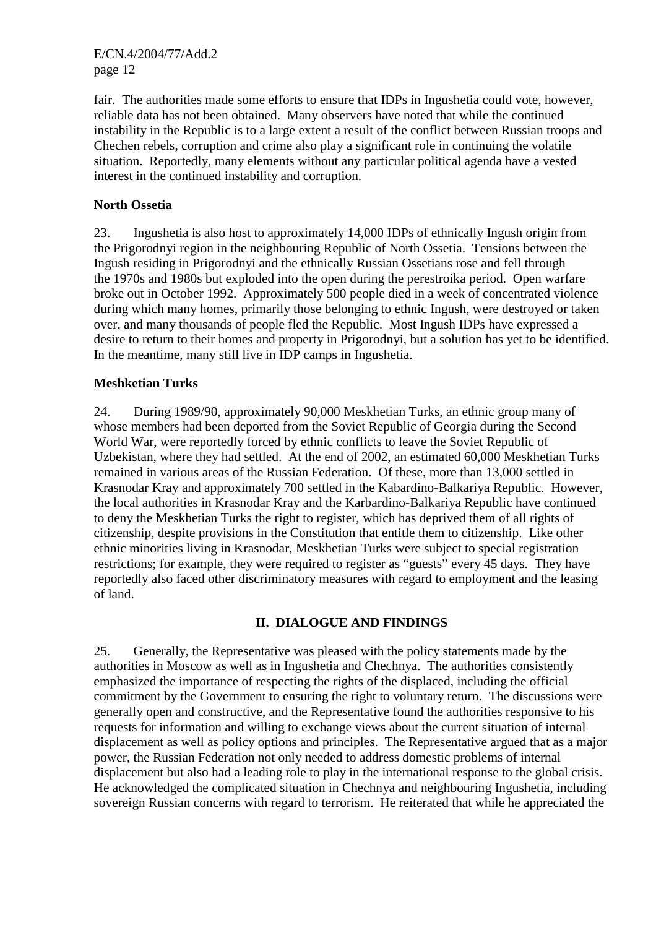fair. The authorities made some efforts to ensure that IDPs in Ingushetia could vote, however, reliable data has not been obtained. Many observers have noted that while the continued instability in the Republic is to a large extent a result of the conflict between Russian troops and Chechen rebels, corruption and crime also play a significant role in continuing the volatile situation. Reportedly, many elements without any particular political agenda have a vested interest in the continued instability and corruption.

## **North Ossetia**

23. Ingushetia is also host to approximately 14,000 IDPs of ethnically Ingush origin from the Prigorodnyi region in the neighbouring Republic of North Ossetia. Tensions between the Ingush residing in Prigorodnyi and the ethnically Russian Ossetians rose and fell through the 1970s and 1980s but exploded into the open during the perestroika period. Open warfare broke out in October 1992. Approximately 500 people died in a week of concentrated violence during which many homes, primarily those belonging to ethnic Ingush, were destroyed or taken over, and many thousands of people fled the Republic. Most Ingush IDPs have expressed a desire to return to their homes and property in Prigorodnyi, but a solution has yet to be identified. In the meantime, many still live in IDP camps in Ingushetia.

# **Meshketian Turks**

24. During 1989/90, approximately 90,000 Meskhetian Turks, an ethnic group many of whose members had been deported from the Soviet Republic of Georgia during the Second World War, were reportedly forced by ethnic conflicts to leave the Soviet Republic of Uzbekistan, where they had settled. At the end of 2002, an estimated 60,000 Meskhetian Turks remained in various areas of the Russian Federation. Of these, more than 13,000 settled in Krasnodar Kray and approximately 700 settled in the Kabardino-Balkariya Republic. However, the local authorities in Krasnodar Kray and the Karbardino-Balkariya Republic have continued to deny the Meskhetian Turks the right to register, which has deprived them of all rights of citizenship, despite provisions in the Constitution that entitle them to citizenship. Like other ethnic minorities living in Krasnodar, Meskhetian Turks were subject to special registration restrictions; for example, they were required to register as "guests" every 45 days. They have reportedly also faced other discriminatory measures with regard to employment and the leasing of land.

## **II. DIALOGUE AND FINDINGS**

25. Generally, the Representative was pleased with the policy statements made by the authorities in Moscow as well as in Ingushetia and Chechnya. The authorities consistently emphasized the importance of respecting the rights of the displaced, including the official commitment by the Government to ensuring the right to voluntary return. The discussions were generally open and constructive, and the Representative found the authorities responsive to his requests for information and willing to exchange views about the current situation of internal displacement as well as policy options and principles. The Representative argued that as a major power, the Russian Federation not only needed to address domestic problems of internal displacement but also had a leading role to play in the international response to the global crisis. He acknowledged the complicated situation in Chechnya and neighbouring Ingushetia, including sovereign Russian concerns with regard to terrorism. He reiterated that while he appreciated the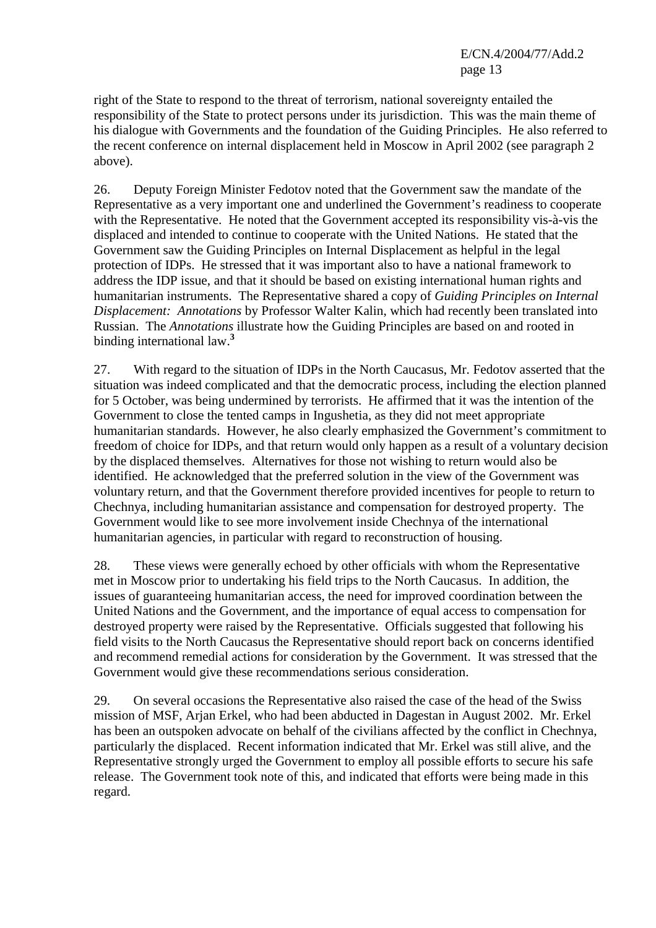right of the State to respond to the threat of terrorism, national sovereignty entailed the responsibility of the State to protect persons under its jurisdiction. This was the main theme of his dialogue with Governments and the foundation of the Guiding Principles. He also referred to the recent conference on internal displacement held in Moscow in April 2002 (see paragraph 2 above).

26. Deputy Foreign Minister Fedotov noted that the Government saw the mandate of the Representative as a very important one and underlined the Government's readiness to cooperate with the Representative. He noted that the Government accepted its responsibility vis-à-vis the displaced and intended to continue to cooperate with the United Nations. He stated that the Government saw the Guiding Principles on Internal Displacement as helpful in the legal protection of IDPs. He stressed that it was important also to have a national framework to address the IDP issue, and that it should be based on existing international human rights and humanitarian instruments. The Representative shared a copy of *Guiding Principles on Internal Displacement: Annotations* by Professor Walter Kalin, which had recently been translated into Russian. The *Annotations* illustrate how the Guiding Principles are based on and rooted in binding international law.**<sup>3</sup>**

27. With regard to the situation of IDPs in the North Caucasus, Mr. Fedotov asserted that the situation was indeed complicated and that the democratic process, including the election planned for 5 October, was being undermined by terrorists. He affirmed that it was the intention of the Government to close the tented camps in Ingushetia, as they did not meet appropriate humanitarian standards. However, he also clearly emphasized the Government's commitment to freedom of choice for IDPs, and that return would only happen as a result of a voluntary decision by the displaced themselves. Alternatives for those not wishing to return would also be identified. He acknowledged that the preferred solution in the view of the Government was voluntary return, and that the Government therefore provided incentives for people to return to Chechnya, including humanitarian assistance and compensation for destroyed property. The Government would like to see more involvement inside Chechnya of the international humanitarian agencies, in particular with regard to reconstruction of housing.

28. These views were generally echoed by other officials with whom the Representative met in Moscow prior to undertaking his field trips to the North Caucasus. In addition, the issues of guaranteeing humanitarian access, the need for improved coordination between the United Nations and the Government, and the importance of equal access to compensation for destroyed property were raised by the Representative. Officials suggested that following his field visits to the North Caucasus the Representative should report back on concerns identified and recommend remedial actions for consideration by the Government. It was stressed that the Government would give these recommendations serious consideration.

29. On several occasions the Representative also raised the case of the head of the Swiss mission of MSF, Arjan Erkel, who had been abducted in Dagestan in August 2002. Mr. Erkel has been an outspoken advocate on behalf of the civilians affected by the conflict in Chechnya, particularly the displaced. Recent information indicated that Mr. Erkel was still alive, and the Representative strongly urged the Government to employ all possible efforts to secure his safe release. The Government took note of this, and indicated that efforts were being made in this regard.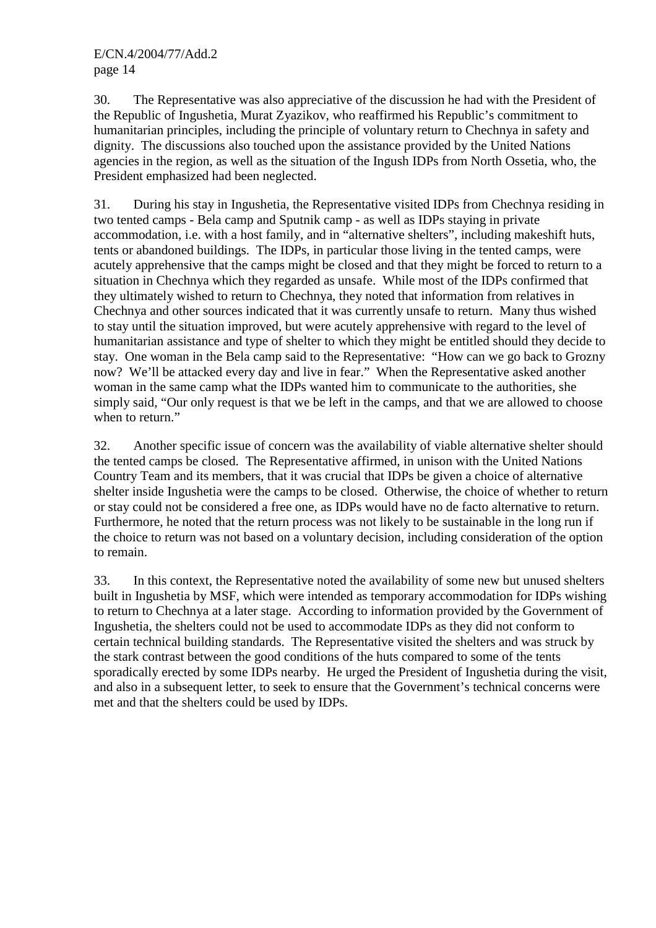30. The Representative was also appreciative of the discussion he had with the President of the Republic of Ingushetia, Murat Zyazikov, who reaffirmed his Republic's commitment to humanitarian principles, including the principle of voluntary return to Chechnya in safety and dignity. The discussions also touched upon the assistance provided by the United Nations agencies in the region, as well as the situation of the Ingush IDPs from North Ossetia, who, the President emphasized had been neglected.

31. During his stay in Ingushetia, the Representative visited IDPs from Chechnya residing in two tented camps - Bela camp and Sputnik camp - as well as IDPs staying in private accommodation, i.e. with a host family, and in "alternative shelters", including makeshift huts, tents or abandoned buildings. The IDPs, in particular those living in the tented camps, were acutely apprehensive that the camps might be closed and that they might be forced to return to a situation in Chechnya which they regarded as unsafe. While most of the IDPs confirmed that they ultimately wished to return to Chechnya, they noted that information from relatives in Chechnya and other sources indicated that it was currently unsafe to return. Many thus wished to stay until the situation improved, but were acutely apprehensive with regard to the level of humanitarian assistance and type of shelter to which they might be entitled should they decide to stay. One woman in the Bela camp said to the Representative: "How can we go back to Grozny now? We'll be attacked every day and live in fear." When the Representative asked another woman in the same camp what the IDPs wanted him to communicate to the authorities, she simply said, "Our only request is that we be left in the camps, and that we are allowed to choose when to return."

32. Another specific issue of concern was the availability of viable alternative shelter should the tented camps be closed. The Representative affirmed, in unison with the United Nations Country Team and its members, that it was crucial that IDPs be given a choice of alternative shelter inside Ingushetia were the camps to be closed. Otherwise, the choice of whether to return or stay could not be considered a free one, as IDPs would have no de facto alternative to return. Furthermore, he noted that the return process was not likely to be sustainable in the long run if the choice to return was not based on a voluntary decision, including consideration of the option to remain.

33. In this context, the Representative noted the availability of some new but unused shelters built in Ingushetia by MSF, which were intended as temporary accommodation for IDPs wishing to return to Chechnya at a later stage. According to information provided by the Government of Ingushetia, the shelters could not be used to accommodate IDPs as they did not conform to certain technical building standards. The Representative visited the shelters and was struck by the stark contrast between the good conditions of the huts compared to some of the tents sporadically erected by some IDPs nearby. He urged the President of Ingushetia during the visit, and also in a subsequent letter, to seek to ensure that the Government's technical concerns were met and that the shelters could be used by IDPs.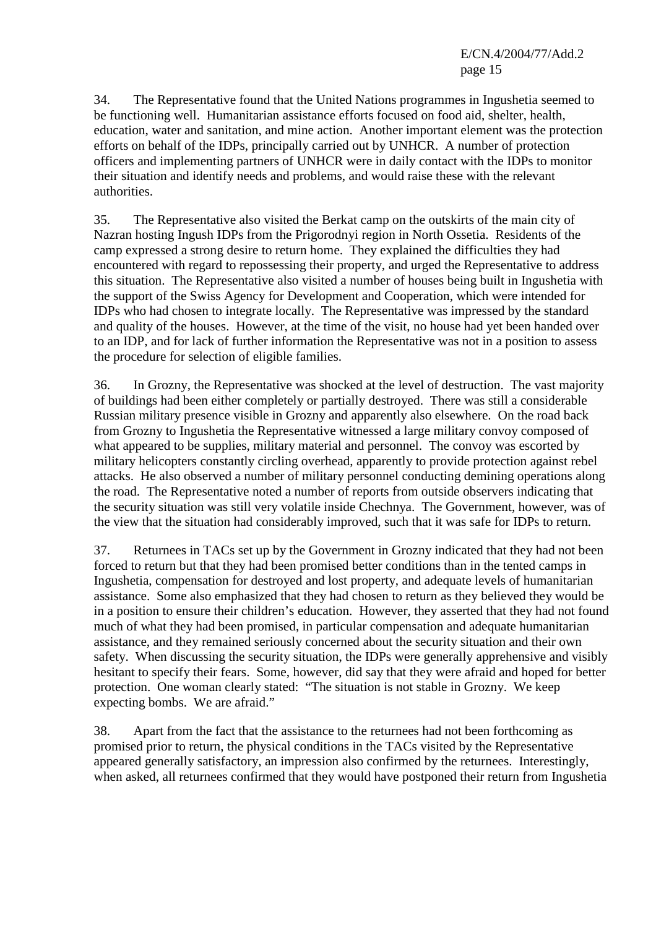34. The Representative found that the United Nations programmes in Ingushetia seemed to be functioning well. Humanitarian assistance efforts focused on food aid, shelter, health, education, water and sanitation, and mine action. Another important element was the protection efforts on behalf of the IDPs, principally carried out by UNHCR. A number of protection officers and implementing partners of UNHCR were in daily contact with the IDPs to monitor their situation and identify needs and problems, and would raise these with the relevant authorities.

35. The Representative also visited the Berkat camp on the outskirts of the main city of Nazran hosting Ingush IDPs from the Prigorodnyi region in North Ossetia. Residents of the camp expressed a strong desire to return home. They explained the difficulties they had encountered with regard to repossessing their property, and urged the Representative to address this situation. The Representative also visited a number of houses being built in Ingushetia with the support of the Swiss Agency for Development and Cooperation, which were intended for IDPs who had chosen to integrate locally. The Representative was impressed by the standard and quality of the houses. However, at the time of the visit, no house had yet been handed over to an IDP, and for lack of further information the Representative was not in a position to assess the procedure for selection of eligible families.

36. In Grozny, the Representative was shocked at the level of destruction. The vast majority of buildings had been either completely or partially destroyed. There was still a considerable Russian military presence visible in Grozny and apparently also elsewhere. On the road back from Grozny to Ingushetia the Representative witnessed a large military convoy composed of what appeared to be supplies, military material and personnel. The convoy was escorted by military helicopters constantly circling overhead, apparently to provide protection against rebel attacks. He also observed a number of military personnel conducting demining operations along the road. The Representative noted a number of reports from outside observers indicating that the security situation was still very volatile inside Chechnya. The Government, however, was of the view that the situation had considerably improved, such that it was safe for IDPs to return.

37. Returnees in TACs set up by the Government in Grozny indicated that they had not been forced to return but that they had been promised better conditions than in the tented camps in Ingushetia, compensation for destroyed and lost property, and adequate levels of humanitarian assistance. Some also emphasized that they had chosen to return as they believed they would be in a position to ensure their children's education. However, they asserted that they had not found much of what they had been promised, in particular compensation and adequate humanitarian assistance, and they remained seriously concerned about the security situation and their own safety. When discussing the security situation, the IDPs were generally apprehensive and visibly hesitant to specify their fears. Some, however, did say that they were afraid and hoped for better protection. One woman clearly stated: "The situation is not stable in Grozny. We keep expecting bombs. We are afraid."

38. Apart from the fact that the assistance to the returnees had not been forthcoming as promised prior to return, the physical conditions in the TACs visited by the Representative appeared generally satisfactory, an impression also confirmed by the returnees. Interestingly, when asked, all returnees confirmed that they would have postponed their return from Ingushetia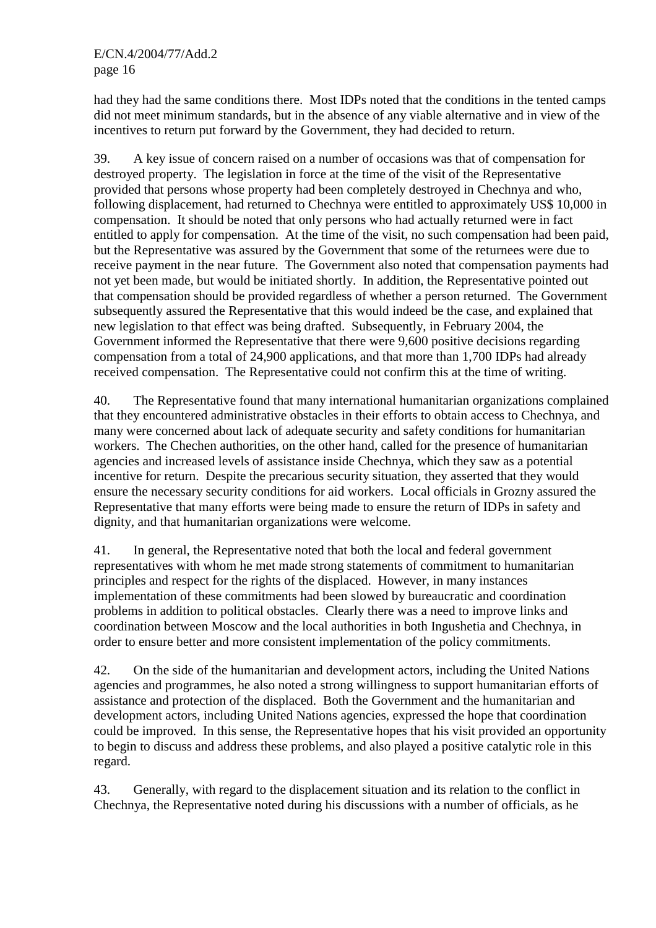had they had the same conditions there. Most IDPs noted that the conditions in the tented camps did not meet minimum standards, but in the absence of any viable alternative and in view of the incentives to return put forward by the Government, they had decided to return.

39. A key issue of concern raised on a number of occasions was that of compensation for destroyed property. The legislation in force at the time of the visit of the Representative provided that persons whose property had been completely destroyed in Chechnya and who, following displacement, had returned to Chechnya were entitled to approximately US\$ 10,000 in compensation. It should be noted that only persons who had actually returned were in fact entitled to apply for compensation. At the time of the visit, no such compensation had been paid, but the Representative was assured by the Government that some of the returnees were due to receive payment in the near future. The Government also noted that compensation payments had not yet been made, but would be initiated shortly. In addition, the Representative pointed out that compensation should be provided regardless of whether a person returned. The Government subsequently assured the Representative that this would indeed be the case, and explained that new legislation to that effect was being drafted. Subsequently, in February 2004, the Government informed the Representative that there were 9,600 positive decisions regarding compensation from a total of 24,900 applications, and that more than 1,700 IDPs had already received compensation. The Representative could not confirm this at the time of writing.

40. The Representative found that many international humanitarian organizations complained that they encountered administrative obstacles in their efforts to obtain access to Chechnya, and many were concerned about lack of adequate security and safety conditions for humanitarian workers. The Chechen authorities, on the other hand, called for the presence of humanitarian agencies and increased levels of assistance inside Chechnya, which they saw as a potential incentive for return. Despite the precarious security situation, they asserted that they would ensure the necessary security conditions for aid workers. Local officials in Grozny assured the Representative that many efforts were being made to ensure the return of IDPs in safety and dignity, and that humanitarian organizations were welcome.

41. In general, the Representative noted that both the local and federal government representatives with whom he met made strong statements of commitment to humanitarian principles and respect for the rights of the displaced. However, in many instances implementation of these commitments had been slowed by bureaucratic and coordination problems in addition to political obstacles. Clearly there was a need to improve links and coordination between Moscow and the local authorities in both Ingushetia and Chechnya, in order to ensure better and more consistent implementation of the policy commitments.

42. On the side of the humanitarian and development actors, including the United Nations agencies and programmes, he also noted a strong willingness to support humanitarian efforts of assistance and protection of the displaced. Both the Government and the humanitarian and development actors, including United Nations agencies, expressed the hope that coordination could be improved. In this sense, the Representative hopes that his visit provided an opportunity to begin to discuss and address these problems, and also played a positive catalytic role in this regard.

43. Generally, with regard to the displacement situation and its relation to the conflict in Chechnya, the Representative noted during his discussions with a number of officials, as he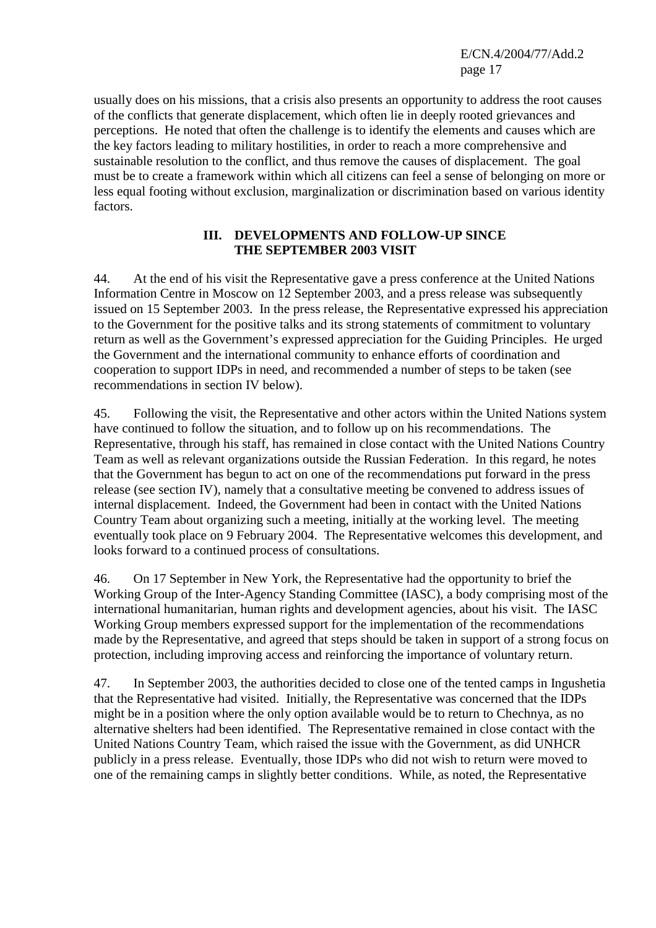usually does on his missions, that a crisis also presents an opportunity to address the root causes of the conflicts that generate displacement, which often lie in deeply rooted grievances and perceptions. He noted that often the challenge is to identify the elements and causes which are the key factors leading to military hostilities, in order to reach a more comprehensive and sustainable resolution to the conflict, and thus remove the causes of displacement. The goal must be to create a framework within which all citizens can feel a sense of belonging on more or less equal footing without exclusion, marginalization or discrimination based on various identity factors.

#### **III. DEVELOPMENTS AND FOLLOW-UP SINCE THE SEPTEMBER 2003 VISIT**

44. At the end of his visit the Representative gave a press conference at the United Nations Information Centre in Moscow on 12 September 2003, and a press release was subsequently issued on 15 September 2003. In the press release, the Representative expressed his appreciation to the Government for the positive talks and its strong statements of commitment to voluntary return as well as the Government's expressed appreciation for the Guiding Principles. He urged the Government and the international community to enhance efforts of coordination and cooperation to support IDPs in need, and recommended a number of steps to be taken (see recommendations in section IV below).

45. Following the visit, the Representative and other actors within the United Nations system have continued to follow the situation, and to follow up on his recommendations. The Representative, through his staff, has remained in close contact with the United Nations Country Team as well as relevant organizations outside the Russian Federation. In this regard, he notes that the Government has begun to act on one of the recommendations put forward in the press release (see section IV), namely that a consultative meeting be convened to address issues of internal displacement. Indeed, the Government had been in contact with the United Nations Country Team about organizing such a meeting, initially at the working level. The meeting eventually took place on 9 February 2004. The Representative welcomes this development, and looks forward to a continued process of consultations.

46. On 17 September in New York, the Representative had the opportunity to brief the Working Group of the Inter-Agency Standing Committee (IASC), a body comprising most of the international humanitarian, human rights and development agencies, about his visit. The IASC Working Group members expressed support for the implementation of the recommendations made by the Representative, and agreed that steps should be taken in support of a strong focus on protection, including improving access and reinforcing the importance of voluntary return.

47. In September 2003, the authorities decided to close one of the tented camps in Ingushetia that the Representative had visited. Initially, the Representative was concerned that the IDPs might be in a position where the only option available would be to return to Chechnya, as no alternative shelters had been identified. The Representative remained in close contact with the United Nations Country Team, which raised the issue with the Government, as did UNHCR publicly in a press release. Eventually, those IDPs who did not wish to return were moved to one of the remaining camps in slightly better conditions. While, as noted, the Representative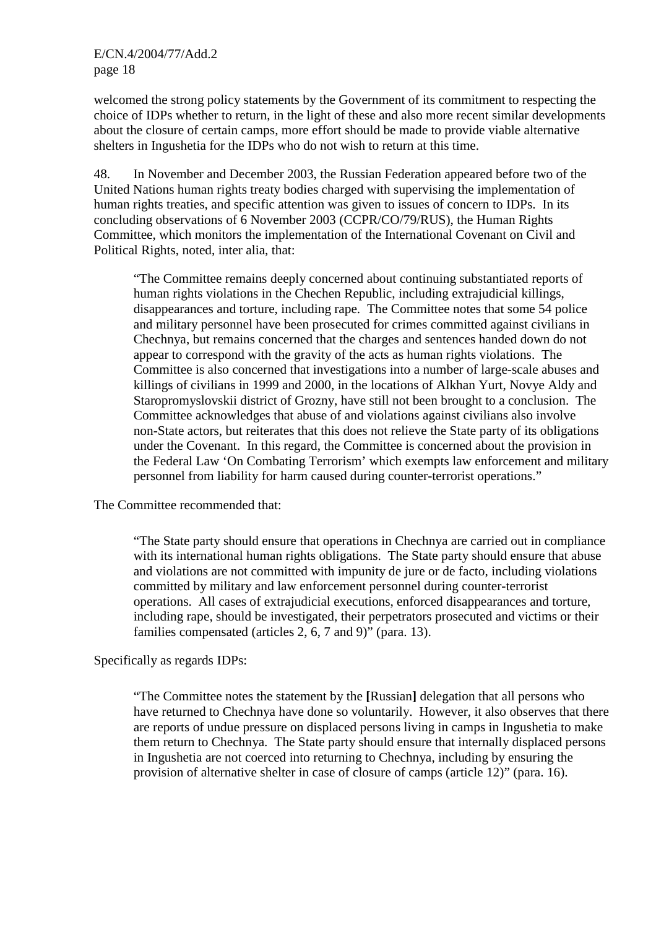welcomed the strong policy statements by the Government of its commitment to respecting the choice of IDPs whether to return, in the light of these and also more recent similar developments about the closure of certain camps, more effort should be made to provide viable alternative shelters in Ingushetia for the IDPs who do not wish to return at this time.

48. In November and December 2003, the Russian Federation appeared before two of the United Nations human rights treaty bodies charged with supervising the implementation of human rights treaties, and specific attention was given to issues of concern to IDPs. In its concluding observations of 6 November 2003 (CCPR/CO/79/RUS), the Human Rights Committee, which monitors the implementation of the International Covenant on Civil and Political Rights, noted, inter alia, that:

"The Committee remains deeply concerned about continuing substantiated reports of human rights violations in the Chechen Republic, including extrajudicial killings, disappearances and torture, including rape. The Committee notes that some 54 police and military personnel have been prosecuted for crimes committed against civilians in Chechnya, but remains concerned that the charges and sentences handed down do not appear to correspond with the gravity of the acts as human rights violations. The Committee is also concerned that investigations into a number of large-scale abuses and killings of civilians in 1999 and 2000, in the locations of Alkhan Yurt, Novye Aldy and Staropromyslovskii district of Grozny, have still not been brought to a conclusion. The Committee acknowledges that abuse of and violations against civilians also involve non-State actors, but reiterates that this does not relieve the State party of its obligations under the Covenant. In this regard, the Committee is concerned about the provision in the Federal Law 'On Combating Terrorism' which exempts law enforcement and military personnel from liability for harm caused during counter-terrorist operations."

The Committee recommended that:

"The State party should ensure that operations in Chechnya are carried out in compliance with its international human rights obligations. The State party should ensure that abuse and violations are not committed with impunity de jure or de facto, including violations committed by military and law enforcement personnel during counter-terrorist operations. All cases of extrajudicial executions, enforced disappearances and torture, including rape, should be investigated, their perpetrators prosecuted and victims or their families compensated (articles 2, 6, 7 and 9)" (para. 13).

Specifically as regards IDPs:

"The Committee notes the statement by the **[**Russian**]** delegation that all persons who have returned to Chechnya have done so voluntarily. However, it also observes that there are reports of undue pressure on displaced persons living in camps in Ingushetia to make them return to Chechnya. The State party should ensure that internally displaced persons in Ingushetia are not coerced into returning to Chechnya, including by ensuring the provision of alternative shelter in case of closure of camps (article 12)" (para. 16).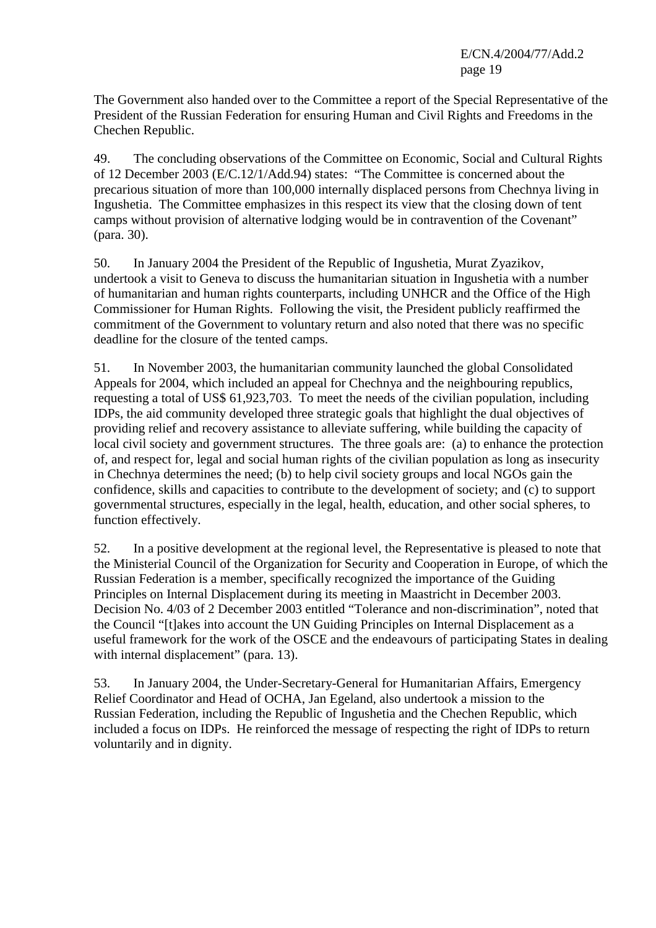The Government also handed over to the Committee a report of the Special Representative of the President of the Russian Federation for ensuring Human and Civil Rights and Freedoms in the Chechen Republic.

49. The concluding observations of the Committee on Economic, Social and Cultural Rights of 12 December 2003 (E/C.12/1/Add.94) states: "The Committee is concerned about the precarious situation of more than 100,000 internally displaced persons from Chechnya living in Ingushetia. The Committee emphasizes in this respect its view that the closing down of tent camps without provision of alternative lodging would be in contravention of the Covenant" (para. 30).

50. In January 2004 the President of the Republic of Ingushetia, Murat Zyazikov, undertook a visit to Geneva to discuss the humanitarian situation in Ingushetia with a number of humanitarian and human rights counterparts, including UNHCR and the Office of the High Commissioner for Human Rights. Following the visit, the President publicly reaffirmed the commitment of the Government to voluntary return and also noted that there was no specific deadline for the closure of the tented camps.

51. In November 2003, the humanitarian community launched the global Consolidated Appeals for 2004, which included an appeal for Chechnya and the neighbouring republics, requesting a total of US\$ 61,923,703. To meet the needs of the civilian population, including IDPs, the aid community developed three strategic goals that highlight the dual objectives of providing relief and recovery assistance to alleviate suffering, while building the capacity of local civil society and government structures. The three goals are: (a) to enhance the protection of, and respect for, legal and social human rights of the civilian population as long as insecurity in Chechnya determines the need; (b) to help civil society groups and local NGOs gain the confidence, skills and capacities to contribute to the development of society; and (c) to support governmental structures, especially in the legal, health, education, and other social spheres, to function effectively.

52. In a positive development at the regional level, the Representative is pleased to note that the Ministerial Council of the Organization for Security and Cooperation in Europe, of which the Russian Federation is a member, specifically recognized the importance of the Guiding Principles on Internal Displacement during its meeting in Maastricht in December 2003. Decision No. 4/03 of 2 December 2003 entitled "Tolerance and non-discrimination", noted that the Council "[t]akes into account the UN Guiding Principles on Internal Displacement as a useful framework for the work of the OSCE and the endeavours of participating States in dealing with internal displacement" (para. 13).

53. In January 2004, the Under-Secretary-General for Humanitarian Affairs, Emergency Relief Coordinator and Head of OCHA, Jan Egeland, also undertook a mission to the Russian Federation, including the Republic of Ingushetia and the Chechen Republic, which included a focus on IDPs. He reinforced the message of respecting the right of IDPs to return voluntarily and in dignity.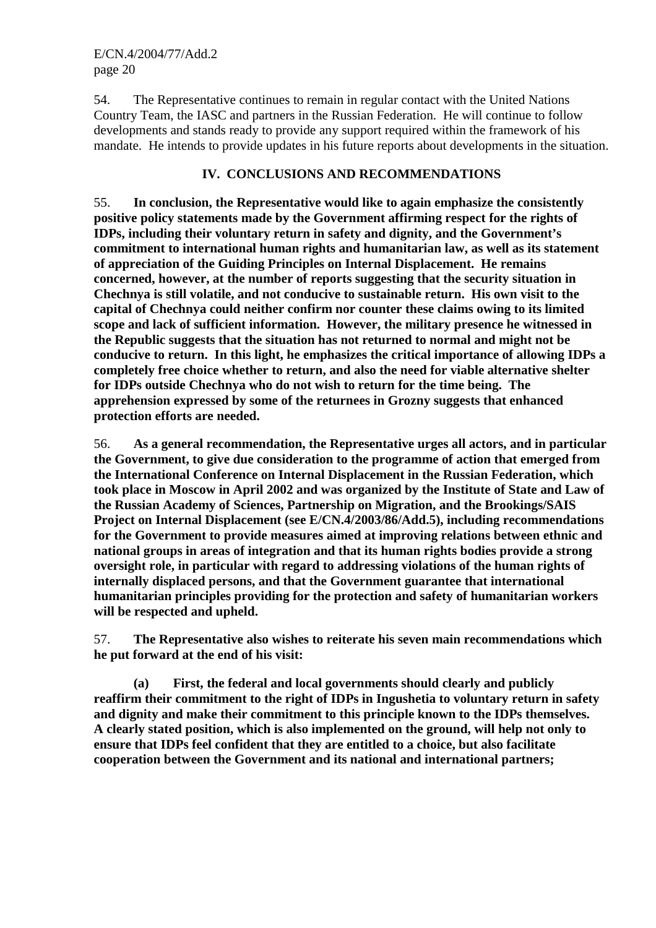54. The Representative continues to remain in regular contact with the United Nations Country Team, the IASC and partners in the Russian Federation. He will continue to follow developments and stands ready to provide any support required within the framework of his mandate. He intends to provide updates in his future reports about developments in the situation.

# **IV. CONCLUSIONS AND RECOMMENDATIONS**

55. **In conclusion, the Representative would like to again emphasize the consistently positive policy statements made by the Government affirming respect for the rights of IDPs, including their voluntary return in safety and dignity, and the Government's commitment to international human rights and humanitarian law, as well as its statement of appreciation of the Guiding Principles on Internal Displacement. He remains concerned, however, at the number of reports suggesting that the security situation in Chechnya is still volatile, and not conducive to sustainable return. His own visit to the capital of Chechnya could neither confirm nor counter these claims owing to its limited scope and lack of sufficient information. However, the military presence he witnessed in the Republic suggests that the situation has not returned to normal and might not be conducive to return. In this light, he emphasizes the critical importance of allowing IDPs a completely free choice whether to return, and also the need for viable alternative shelter for IDPs outside Chechnya who do not wish to return for the time being. The apprehension expressed by some of the returnees in Grozny suggests that enhanced protection efforts are needed.** 

56. **As a general recommendation, the Representative urges all actors, and in particular the Government, to give due consideration to the programme of action that emerged from the International Conference on Internal Displacement in the Russian Federation, which took place in Moscow in April 2002 and was organized by the Institute of State and Law of the Russian Academy of Sciences, Partnership on Migration, and the Brookings/SAIS Project on Internal Displacement (see E/CN.4/2003/86/Add.5), including recommendations for the Government to provide measures aimed at improving relations between ethnic and national groups in areas of integration and that its human rights bodies provide a strong oversight role, in particular with regard to addressing violations of the human rights of internally displaced persons, and that the Government guarantee that international humanitarian principles providing for the protection and safety of humanitarian workers will be respected and upheld.** 

57. **The Representative also wishes to reiterate his seven main recommendations which he put forward at the end of his visit:** 

 **(a) First, the federal and local governments should clearly and publicly reaffirm their commitment to the right of IDPs in Ingushetia to voluntary return in safety and dignity and make their commitment to this principle known to the IDPs themselves. A clearly stated position, which is also implemented on the ground, will help not only to ensure that IDPs feel confident that they are entitled to a choice, but also facilitate cooperation between the Government and its national and international partners;**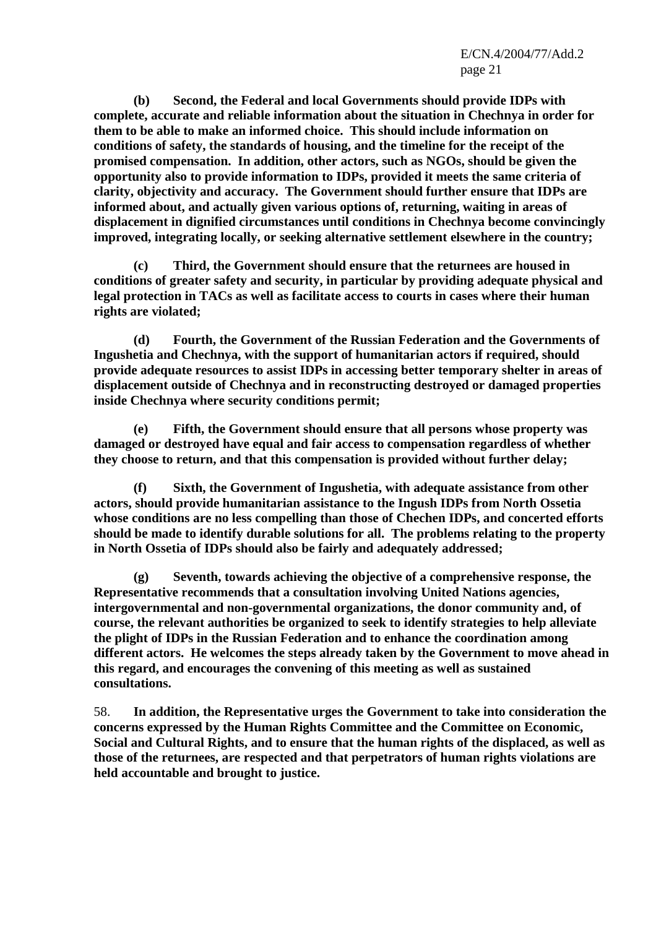**(b) Second, the Federal and local Governments should provide IDPs with complete, accurate and reliable information about the situation in Chechnya in order for them to be able to make an informed choice. This should include information on conditions of safety, the standards of housing, and the timeline for the receipt of the promised compensation. In addition, other actors, such as NGOs, should be given the opportunity also to provide information to IDPs, provided it meets the same criteria of clarity, objectivity and accuracy. The Government should further ensure that IDPs are informed about, and actually given various options of, returning, waiting in areas of displacement in dignified circumstances until conditions in Chechnya become convincingly improved, integrating locally, or seeking alternative settlement elsewhere in the country;** 

 **(c) Third, the Government should ensure that the returnees are housed in conditions of greater safety and security, in particular by providing adequate physical and legal protection in TACs as well as facilitate access to courts in cases where their human rights are violated;** 

 **(d) Fourth, the Government of the Russian Federation and the Governments of Ingushetia and Chechnya, with the support of humanitarian actors if required, should provide adequate resources to assist IDPs in accessing better temporary shelter in areas of displacement outside of Chechnya and in reconstructing destroyed or damaged properties inside Chechnya where security conditions permit;** 

 **(e) Fifth, the Government should ensure that all persons whose property was damaged or destroyed have equal and fair access to compensation regardless of whether they choose to return, and that this compensation is provided without further delay;** 

**Sixth, the Government of Ingushetia, with adequate assistance from other actors, should provide humanitarian assistance to the Ingush IDPs from North Ossetia whose conditions are no less compelling than those of Chechen IDPs, and concerted efforts should be made to identify durable solutions for all. The problems relating to the property in North Ossetia of IDPs should also be fairly and adequately addressed;** 

 **(g) Seventh, towards achieving the objective of a comprehensive response, the Representative recommends that a consultation involving United Nations agencies, intergovernmental and non-governmental organizations, the donor community and, of course, the relevant authorities be organized to seek to identify strategies to help alleviate the plight of IDPs in the Russian Federation and to enhance the coordination among different actors. He welcomes the steps already taken by the Government to move ahead in this regard, and encourages the convening of this meeting as well as sustained consultations.** 

58. **In addition, the Representative urges the Government to take into consideration the concerns expressed by the Human Rights Committee and the Committee on Economic, Social and Cultural Rights, and to ensure that the human rights of the displaced, as well as those of the returnees, are respected and that perpetrators of human rights violations are held accountable and brought to justice.**